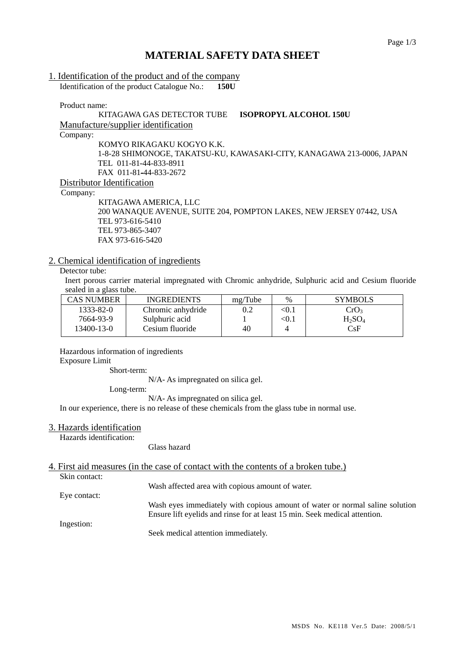## **MATERIAL SAFETY DATA SHEET**

#### 1. Identification of the product and of the company

Identification of the product Catalogue No.: **150U**

Product name:

# KITAGAWA GAS DETECTOR TUBE **ISOPROPYL ALCOHOL 150U**

Manufacture/supplier identification

Company:

KOMYO RIKAGAKU KOGYO K.K. 1-8-28 SHIMONOGE, TAKATSU-KU, KAWASAKI-CITY, KANAGAWA 213-0006, JAPAN TEL 011-81-44-833-8911 FAX 011-81-44-833-2672

Distributor Identification

Company:

KITAGAWA AMERICA, LLC 200 WANAQUE AVENUE, SUITE 204, POMPTON LAKES, NEW JERSEY 07442, USA TEL 973-616-5410 TEL 973-865-3407 FAX 973-616-5420

### 2. Chemical identification of ingredients

## Detector tube:

Inert porous carrier material impregnated with Chromic anhydride, Sulphuric acid and Cesium fluoride sealed in a glass tube.

| <b>CAS NUMBER</b> | <b>INGREDIENTS</b> | mg/Tube | $\%$  | <b>SYMBOLS</b>   |
|-------------------|--------------------|---------|-------|------------------|
| 1333-82-0         | Chromic anhydride  | 0.2     | < 0.1 | CrO <sub>3</sub> |
| 7664-93-9         | Sulphuric acid     |         | < 0.1 | $H_2SO_4$        |
| 13400-13-0        | Cesium fluoride    | 40      |       | CsF              |

Hazardous information of ingredients Exposure Limit

Short-term:

N/A- As impregnated on silica gel.

Long-term:

N/A- As impregnated on silica gel.

In our experience, there is no release of these chemicals from the glass tube in normal use.

#### 3. Hazards identification

Hazards identification:

Glass hazard

### 4. First aid measures (in the case of contact with the contents of a broken tube.)

Skin contact:

Eye contact:

Wash affected area with copious amount of water.

Wash eyes immediately with copious amount of water or normal saline solution Ensure lift eyelids and rinse for at least 15 min. Seek medical attention.

Ingestion:

Seek medical attention immediately.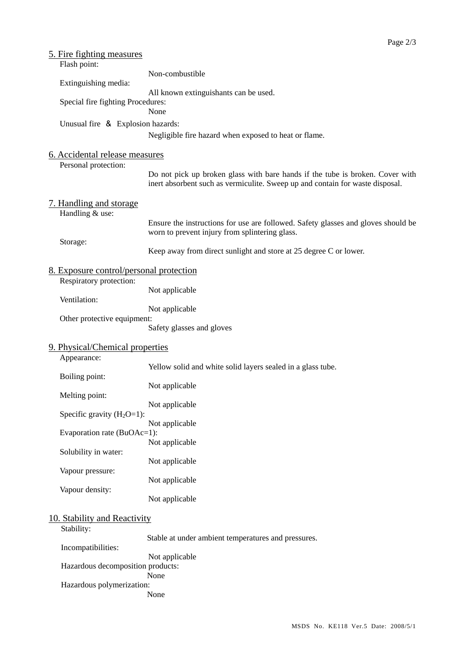| <u>5. Fire fighting measures</u><br>Flash point:       |                                                                                                                                                                |  |
|--------------------------------------------------------|----------------------------------------------------------------------------------------------------------------------------------------------------------------|--|
| Extinguishing media:                                   | Non-combustible                                                                                                                                                |  |
|                                                        | All known extinguishants can be used.                                                                                                                          |  |
| Special fire fighting Procedures:                      | None                                                                                                                                                           |  |
| Unusual fire & Explosion hazards:                      |                                                                                                                                                                |  |
|                                                        | Negligible fire hazard when exposed to heat or flame.                                                                                                          |  |
| 6. Accidental release measures<br>Personal protection: |                                                                                                                                                                |  |
|                                                        | Do not pick up broken glass with bare hands if the tube is broken. Cover with<br>inert absorbent such as vermiculite. Sweep up and contain for waste disposal. |  |
| 7. Handling and storage<br>Handling & use:             |                                                                                                                                                                |  |
|                                                        | Ensure the instructions for use are followed. Safety glasses and gloves should be<br>worn to prevent injury from splintering glass.                            |  |
| Storage:                                               | Keep away from direct sunlight and store at 25 degree C or lower.                                                                                              |  |
| 8. Exposure control/personal protection                |                                                                                                                                                                |  |
| Respiratory protection:<br>Ventilation:                | Not applicable                                                                                                                                                 |  |
|                                                        | Not applicable                                                                                                                                                 |  |
| Other protective equipment:                            | Safety glasses and gloves                                                                                                                                      |  |
| 9. Physical/Chemical properties<br>Appearance:         |                                                                                                                                                                |  |
| Boiling point:                                         | Yellow solid and white solid layers sealed in a glass tube.                                                                                                    |  |
| Melting point:                                         | Not applicable                                                                                                                                                 |  |
|                                                        | Not applicable                                                                                                                                                 |  |
| Specific gravity $(H_2O=1)$ :                          | Not applicable                                                                                                                                                 |  |
| Evaporation rate (BuOAc=1):                            | Not applicable                                                                                                                                                 |  |
| Solubility in water:                                   | Not applicable                                                                                                                                                 |  |
| Vapour pressure:                                       | Not applicable                                                                                                                                                 |  |
| Vapour density:                                        | Not applicable                                                                                                                                                 |  |
| 10. Stability and Reactivity                           |                                                                                                                                                                |  |
| Stability:                                             | Stable at under ambient temperatures and pressures.                                                                                                            |  |
| Incompatibilities:                                     | Not applicable                                                                                                                                                 |  |
| Hazardous decomposition products:                      | None                                                                                                                                                           |  |
| Hazardous polymerization:                              | None                                                                                                                                                           |  |